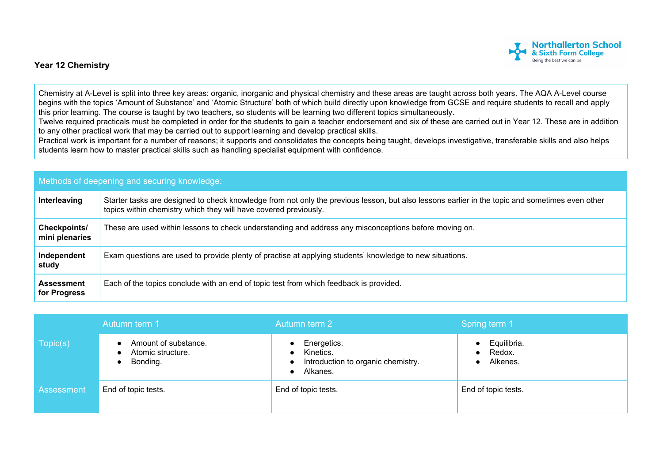

## **Year 12 Chemistry**

Chemistry at A-Level is split into three key areas: organic, inorganic and physical chemistry and these areas are taught across both years. The AQA A-Level course begins with the topics 'Amount of Substance' and 'Atomic Structure' both of which build directly upon knowledge from GCSE and require students to recall and apply this prior learning. The course is taught by two teachers, so students will be learning two different topics simultaneously.

Twelve required practicals must be completed in order for the students to gain a teacher endorsement and six of these are carried out in Year 12. These are in addition to any other practical work that may be carried out to support learning and develop practical skills.

Practical work is important for a number of reasons; it supports and consolidates the concepts being taught, develops investigative, transferable skills and also helps students learn how to master practical skills such as handling specialist equipment with confidence.

| Methods of deepening and securing knowledge: |                                                                                                                                                                                                                     |  |  |
|----------------------------------------------|---------------------------------------------------------------------------------------------------------------------------------------------------------------------------------------------------------------------|--|--|
| Interleaving                                 | Starter tasks are designed to check knowledge from not only the previous lesson, but also lessons earlier in the topic and sometimes even other<br>topics within chemistry which they will have covered previously. |  |  |
| Checkpoints/<br>mini plenaries               | These are used within lessons to check understanding and address any misconceptions before moving on.                                                                                                               |  |  |
| Independent<br>study                         | Exam questions are used to provide plenty of practise at applying students' knowledge to new situations.                                                                                                            |  |  |
| <b>Assessment</b><br>for Progress            | Each of the topics conclude with an end of topic test from which feedback is provided.                                                                                                                              |  |  |

|            | Autumn term 1                                         | Autumn term 2                                                              | Spring term 1                     |
|------------|-------------------------------------------------------|----------------------------------------------------------------------------|-----------------------------------|
| Topic(s)   | Amount of substance.<br>Atomic structure.<br>Bonding. | Energetics.<br>Kinetics.<br>Introduction to organic chemistry.<br>Alkanes. | Equilibria.<br>Redox.<br>Alkenes. |
| Assessment | End of topic tests.                                   | End of topic tests.                                                        | End of topic tests.               |